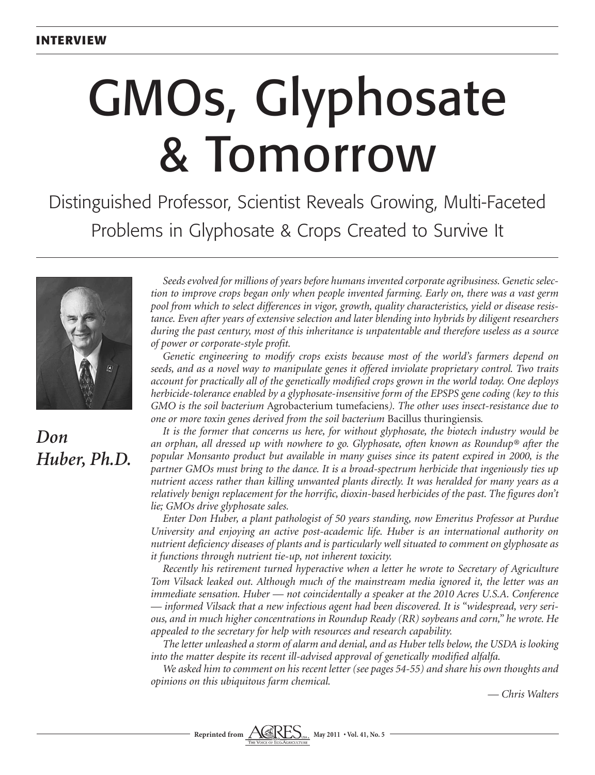# GMOs, Glyphosate & Tomorrow

Distinguished Professor, Scientist Reveals Growing, Multi-Faceted Problems in Glyphosate & Crops Created to Survive It



## *Don Huber, Ph.D.*

*Seeds evolved for millions of years before humans invented corporate agribusiness. Genetic selection to improve crops began only when people invented farming. Early on, there was a vast germ pool from which to select differences in vigor, growth, quality characteristics, yield or disease resistance. Even after years of extensive selection and later blending into hybrids by diligent researchers during the past century, most of this inheritance is unpatentable and therefore useless as a source of power or corporate-style profit.* 

*Genetic engineering to modify crops exists because most of the world's farmers depend on seeds, and as a novel way to manipulate genes it offered inviolate proprietary control. Two traits account for practically all of the genetically modified crops grown in the world today. One deploys herbicide-tolerance enabled by a glyphosate-insensitive form of the EPSPS gene coding (key to this GMO is the soil bacterium* Agrobacterium tumefaciens*). The other uses insect-resistance due to one or more toxin genes derived from the soil bacterium* Bacillus thuringiensis*.*

*It is the former that concerns us here, for without glyphosate, the biotech industry would be an orphan, all dressed up with nowhere to go. Glyphosate, often known as Roundup® after the popular Monsanto product but available in many guises since its patent expired in 2000, is the partner GMOs must bring to the dance. It is a broad-spectrum herbicide that ingeniously ties up nutrient access rather than killing unwanted plants directly. It was heralded for many years as a relatively benign replacement for the horrific, dioxin-based herbicides of the past. The figures don't lie; GMOs drive glyphosate sales.*

*Enter Don Huber, a plant pathologist of 50 years standing, now Emeritus Professor at Purdue University and enjoying an active post-academic life. Huber is an international authority on nutrient deficiency diseases of plants and is particularly well situated to comment on glyphosate as it functions through nutrient tie-up, not inherent toxicity.* 

*Recently his retirement turned hyperactive when a letter he wrote to Secretary of Agriculture Tom Vilsack leaked out. Although much of the mainstream media ignored it, the letter was an immediate sensation. Huber — not coincidentally a speaker at the 2010 Acres U.S.A. Conference — informed Vilsack that a new infectious agent had been discovered. It is "widespread, very serious, and in much higher concentrations in Roundup Ready (RR) soybeans and corn," he wrote. He appealed to the secretary for help with resources and research capability.*

*The letter unleashed a storm of alarm and denial, and as Huber tells below, the USDA is looking into the matter despite its recent ill-advised approval of genetically modified alfalfa.* 

*We asked him to comment on his recent letter (see pages 54-55) and share his own thoughts and opinions on this ubiquitous farm chemical.* 

*— Chris Walters*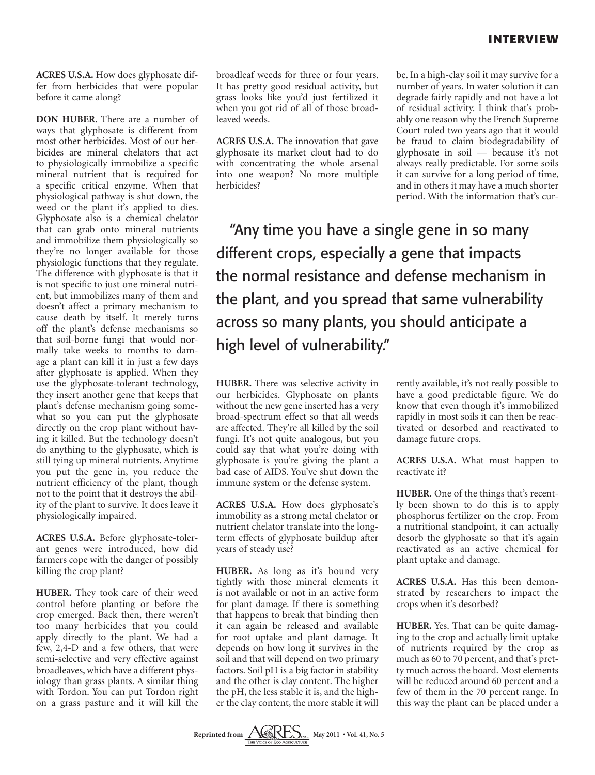**ACRES U.S.A.** How does glyphosate differ from herbicides that were popular before it came along?

**DON HUBER.** There are a number of ways that glyphosate is different from most other herbicides. Most of our herbicides are mineral chelators that act to physiologically immobilize a specific mineral nutrient that is required for a specific critical enzyme. When that physiological pathway is shut down, the weed or the plant it's applied to dies. Glyphosate also is a chemical chelator that can grab onto mineral nutrients and immobilize them physiologically so they're no longer available for those physiologic functions that they regulate. The difference with glyphosate is that it is not specific to just one mineral nutrient, but immobilizes many of them and doesn't affect a primary mechanism to cause death by itself. It merely turns off the plant's defense mechanisms so that soil-borne fungi that would normally take weeks to months to damage a plant can kill it in just a few days after glyphosate is applied. When they use the glyphosate-tolerant technology, they insert another gene that keeps that plant's defense mechanism going somewhat so you can put the glyphosate directly on the crop plant without having it killed. But the technology doesn't do anything to the glyphosate, which is still tying up mineral nutrients. Anytime you put the gene in, you reduce the nutrient efficiency of the plant, though not to the point that it destroys the ability of the plant to survive. It does leave it physiologically impaired.

**ACRES U.S.A.** Before glyphosate-tolerant genes were introduced, how did farmers cope with the danger of possibly killing the crop plant?

**HUBER.** They took care of their weed control before planting or before the crop emerged. Back then, there weren't too many herbicides that you could apply directly to the plant. We had a few, 2,4-D and a few others, that were semi-selective and very effective against broadleaves, which have a different physiology than grass plants. A similar thing with Tordon. You can put Tordon right on a grass pasture and it will kill the

broadleaf weeds for three or four years. It has pretty good residual activity, but grass looks like you'd just fertilized it when you got rid of all of those broadleaved weeds.

**ACRES U.S.A.** The innovation that gave glyphosate its market clout had to do with concentrating the whole arsenal into one weapon? No more multiple herbicides?

be. In a high-clay soil it may survive for a number of years. In water solution it can degrade fairly rapidly and not have a lot of residual activity. I think that's probably one reason why the French Supreme Court ruled two years ago that it would be fraud to claim biodegradability of glyphosate in soil — because it's not always really predictable. For some soils it can survive for a long period of time, and in others it may have a much shorter period. With the information that's cur-

"Any time you have a single gene in so many different crops, especially a gene that impacts the normal resistance and defense mechanism in the plant, and you spread that same vulnerability across so many plants, you should anticipate a high level of vulnerability."

**HUBER.** There was selective activity in our herbicides. Glyphosate on plants without the new gene inserted has a very broad-spectrum effect so that all weeds are affected. They're all killed by the soil fungi. It's not quite analogous, but you could say that what you're doing with glyphosate is you're giving the plant a bad case of AIDS. You've shut down the immune system or the defense system.

**ACRES U.S.A.** How does glyphosate's immobility as a strong metal chelator or nutrient chelator translate into the longterm effects of glyphosate buildup after years of steady use?

**HUBER.** As long as it's bound very tightly with those mineral elements it is not available or not in an active form for plant damage. If there is something that happens to break that binding then it can again be released and available for root uptake and plant damage. It depends on how long it survives in the soil and that will depend on two primary factors. Soil pH is a big factor in stability and the other is clay content. The higher the pH, the less stable it is, and the higher the clay content, the more stable it will

rently available, it's not really possible to have a good predictable figure. We do know that even though it's immobilized rapidly in most soils it can then be reactivated or desorbed and reactivated to damage future crops.

**ACRES U.S.A.** What must happen to reactivate it?

**HUBER.** One of the things that's recently been shown to do this is to apply phosphorus fertilizer on the crop. From a nutritional standpoint, it can actually desorb the glyphosate so that it's again reactivated as an active chemical for plant uptake and damage.

**ACRES U.S.A.** Has this been demonstrated by researchers to impact the crops when it's desorbed?

**HUBER.** Yes. That can be quite damaging to the crop and actually limit uptake of nutrients required by the crop as much as 60 to 70 percent, and that's pretty much across the board. Most elements will be reduced around 60 percent and a few of them in the 70 percent range. In this way the plant can be placed under a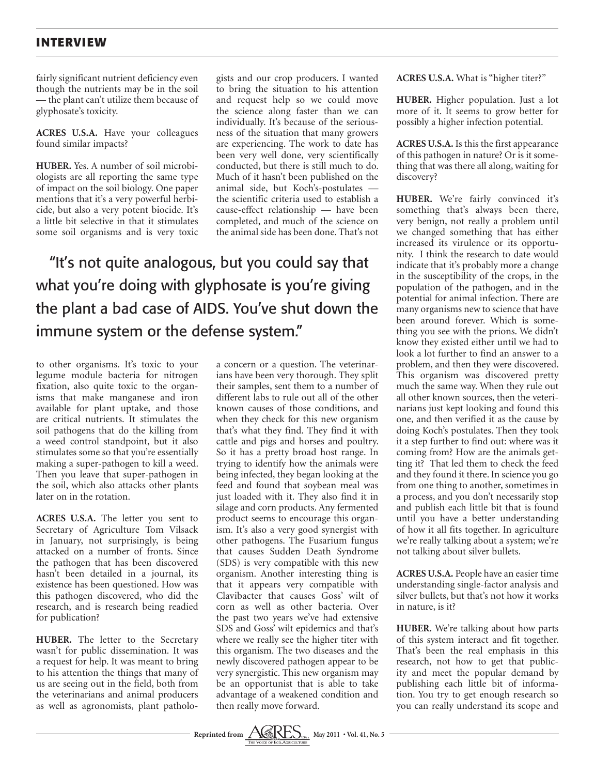fairly significant nutrient deficiency even though the nutrients may be in the soil — the plant can't utilize them because of glyphosate's toxicity.

**ACRES U.S.A.** Have your colleagues found similar impacts?

**HUBER.** Yes. A number of soil microbiologists are all reporting the same type of impact on the soil biology. One paper mentions that it's a very powerful herbicide, but also a very potent biocide. It's a little bit selective in that it stimulates some soil organisms and is very toxic gists and our crop producers. I wanted to bring the situation to his attention and request help so we could move the science along faster than we can individually. It's because of the seriousness of the situation that many growers are experiencing. The work to date has been very well done, very scientifically conducted, but there is still much to do. Much of it hasn't been published on the animal side, but Koch's-postulates the scientific criteria used to establish a cause-effect relationship — have been completed, and much of the science on the animal side has been done. That's not

"It's not quite analogous, but you could say that what you're doing with glyphosate is you're giving the plant a bad case of AIDS. You've shut down the immune system or the defense system."

to other organisms. It's toxic to your legume module bacteria for nitrogen fixation, also quite toxic to the organisms that make manganese and iron available for plant uptake, and those are critical nutrients. It stimulates the soil pathogens that do the killing from a weed control standpoint, but it also stimulates some so that you're essentially making a super-pathogen to kill a weed. Then you leave that super-pathogen in the soil, which also attacks other plants later on in the rotation.

**ACRES U.S.A.** The letter you sent to Secretary of Agriculture Tom Vilsack in January, not surprisingly, is being attacked on a number of fronts. Since the pathogen that has been discovered hasn't been detailed in a journal, its existence has been questioned. How was this pathogen discovered, who did the research, and is research being readied for publication?

**HUBER.** The letter to the Secretary wasn't for public dissemination. It was a request for help. It was meant to bring to his attention the things that many of us are seeing out in the field, both from the veterinarians and animal producers as well as agronomists, plant patholoa concern or a question. The veterinarians have been very thorough. They split their samples, sent them to a number of different labs to rule out all of the other known causes of those conditions, and when they check for this new organism that's what they find. They find it with cattle and pigs and horses and poultry. So it has a pretty broad host range. In trying to identify how the animals were being infected, they began looking at the feed and found that soybean meal was just loaded with it. They also find it in silage and corn products. Any fermented product seems to encourage this organism. It's also a very good synergist with other pathogens. The Fusarium fungus that causes Sudden Death Syndrome (SDS) is very compatible with this new organism. Another interesting thing is that it appears very compatible with Clavibacter that causes Goss' wilt of corn as well as other bacteria. Over the past two years we've had extensive SDS and Goss' wilt epidemics and that's where we really see the higher titer with this organism. The two diseases and the newly discovered pathogen appear to be very synergistic. This new organism may be an opportunist that is able to take advantage of a weakened condition and then really move forward.

**ACRES U.S.A.** What is "higher titer?"

**HUBER.** Higher population. Just a lot more of it. It seems to grow better for possibly a higher infection potential.

**ACRES U.S.A.** Is this the first appearance of this pathogen in nature? Or is it something that was there all along, waiting for discovery?

**HUBER.** We're fairly convinced it's something that's always been there, very benign, not really a problem until we changed something that has either increased its virulence or its opportunity. I think the research to date would indicate that it's probably more a change in the susceptibility of the crops, in the population of the pathogen, and in the potential for animal infection. There are many organisms new to science that have been around forever. Which is something you see with the prions. We didn't know they existed either until we had to look a lot further to find an answer to a problem, and then they were discovered. This organism was discovered pretty much the same way. When they rule out all other known sources, then the veterinarians just kept looking and found this one, and then verified it as the cause by doing Koch's postulates. Then they took it a step further to find out: where was it coming from? How are the animals getting it? That led them to check the feed and they found it there. In science you go from one thing to another, sometimes in a process, and you don't necessarily stop and publish each little bit that is found until you have a better understanding of how it all fits together. In agriculture we're really talking about a system; we're not talking about silver bullets.

**ACRES U.S.A.** People have an easier time understanding single-factor analysis and silver bullets, but that's not how it works in nature, is it?

**HUBER.** We're talking about how parts of this system interact and fit together. That's been the real emphasis in this research, not how to get that publicity and meet the popular demand by publishing each little bit of information. You try to get enough research so you can really understand its scope and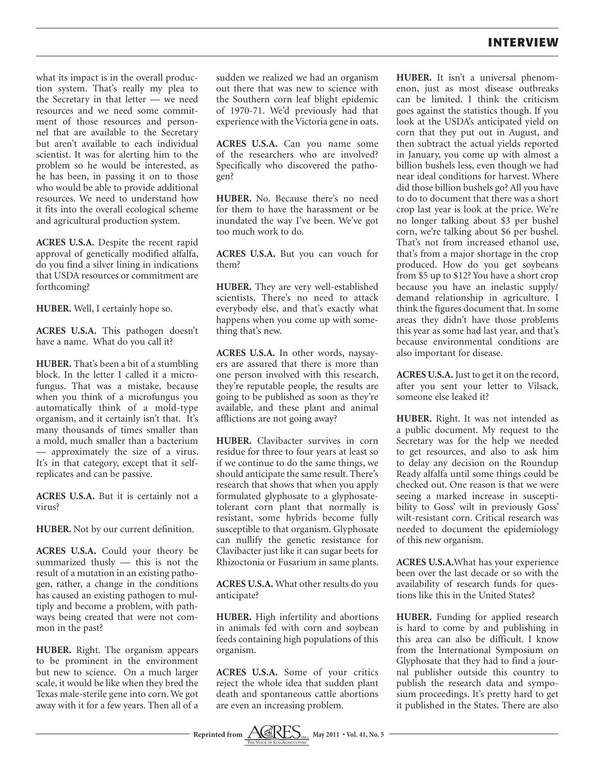what its impact is in the overall production system. That's really my plea to the Secretary in that letter — we need resources and we need some commitment of those resources and personnel that are available to the Secretary but aren't available to each individual scientist. It was for alerting him to the problem so he would be interested, as he has been, in passing it on to those who would be able to provide additional resources. We need to understand how it fits into the overall ecological scheme and agricultural production system.

**ACRES U.S.A.** Despite the recent rapid approval of genetically modified alfalfa, do you find a silver lining in indications that USDA resources or commitment are forthcoming?

**HUBER.** Well, I certainly hope so.

**ACRES U.S.A.** This pathogen doesn't have a name. What do you call it?

**HUBER.** That's been a bit of a stumbling block. In the letter I called it a microfungus. That was a mistake, because when you think of a microfungus you automatically think of a mold-type organism, and it certainly isn't that. It's many thousands of times smaller than a mold, much smaller than a bacterium — approximately the size of a virus. It's in that category, except that it selfreplicates and can be passive.

**ACRES U.S.A.** But it is certainly not a virus?

**HUBER.** Not by our current definition.

**ACRES U.S.A.** Could your theory be summarized thusly — this is not the result of a mutation in an existing pathogen, rather, a change in the conditions has caused an existing pathogen to multiply and become a problem, with pathways being created that were not common in the past?

**HUBER.** Right. The organism appears to be prominent in the environment but new to science. On a much larger scale, it would be like when they bred the Texas male-sterile gene into corn. We got away with it for a few years. Then all of a

sudden we realized we had an organism out there that was new to science with the Southern corn leaf blight epidemic of 1970-71. We'd previously had that experience with the Victoria gene in oats.

**ACRES U.S.A.** Can you name some of the researchers who are involved? Specifically who discovered the pathogen?

**HUBER.** No. Because there's no need for them to have the harassment or be inundated the way I've been. We've got too much work to do.

**ACRES U.S.A.** But you can vouch for them?

**HUBER.** They are very well-established scientists. There's no need to attack everybody else, and that's exactly what happens when you come up with something that's new.

**ACRES U.S.A.** In other words, naysayers are assured that there is more than one person involved with this research, they're reputable people, the results are going to be published as soon as they're available, and these plant and animal afflictions are not going away?

**HUBER.** Clavibacter survives in corn residue for three to four years at least so if we continue to do the same things, we should anticipate the same result. There's research that shows that when you apply formulated glyphosate to a glyphosatetolerant corn plant that normally is resistant, some hybrids become fully susceptible to that organism. Glyphosate can nullify the genetic resistance for Clavibacter just like it can sugar beets for Rhizoctonia or Fusarium in same plants.

**ACRES U.S.A.** What other results do you anticipate?

**HUBER.** High infertility and abortions in animals fed with corn and soybean feeds containing high populations of this organism.

**ACRES U.S.A.** Some of your critics reject the whole idea that sudden plant death and spontaneous cattle abortions are even an increasing problem.



**ACRES U.S.A.** Just to get it on the record, after you sent your letter to Vilsack, someone else leaked it?

**HUBER.** Right. It was not intended as a public document. My request to the Secretary was for the help we needed to get resources, and also to ask him to delay any decision on the Roundup Ready alfalfa until some things could be checked out. One reason is that we were seeing a marked increase in susceptibility to Goss' wilt in previously Goss' wilt-resistant corn. Critical research was needed to document the epidemiology of this new organism.

**ACRES U.S.A.**What has your experience been over the last decade or so with the availability of research funds for questions like this in the United States?

**HUBER.** Funding for applied research is hard to come by and publishing in this area can also be difficult. I know from the International Symposium on Glyphosate that they had to find a journal publisher outside this country to publish the research data and symposium proceedings. It's pretty hard to get it published in the States. There are also

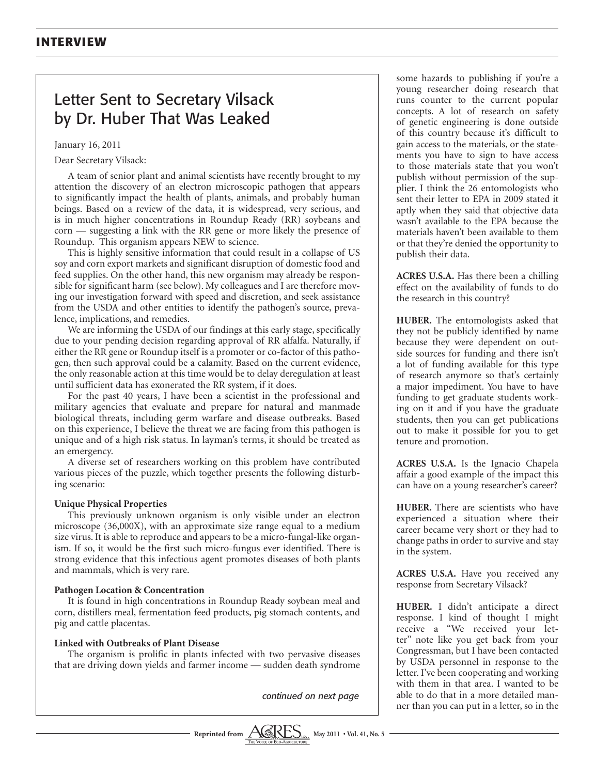### Letter Sent to Secretary Vilsack by Dr. Huber That Was Leaked

January 16, 2011

Dear Secretary Vilsack:

A team of senior plant and animal scientists have recently brought to my attention the discovery of an electron microscopic pathogen that appears to significantly impact the health of plants, animals, and probably human beings. Based on a review of the data, it is widespread, very serious, and is in much higher concentrations in Roundup Ready (RR) soybeans and corn — suggesting a link with the RR gene or more likely the presence of Roundup. This organism appears NEW to science.

This is highly sensitive information that could result in a collapse of US soy and corn export markets and significant disruption of domestic food and feed supplies. On the other hand, this new organism may already be responsible for significant harm (see below). My colleagues and I are therefore moving our investigation forward with speed and discretion, and seek assistance from the USDA and other entities to identify the pathogen's source, prevalence, implications, and remedies.

We are informing the USDA of our findings at this early stage, specifically due to your pending decision regarding approval of RR alfalfa. Naturally, if either the RR gene or Roundup itself is a promoter or co-factor of this pathogen, then such approval could be a calamity. Based on the current evidence, the only reasonable action at this time would be to delay deregulation at least until sufficient data has exonerated the RR system, if it does.

For the past 40 years, I have been a scientist in the professional and military agencies that evaluate and prepare for natural and manmade biological threats, including germ warfare and disease outbreaks. Based on this experience, I believe the threat we are facing from this pathogen is unique and of a high risk status. In layman's terms, it should be treated as an emergency.

A diverse set of researchers working on this problem have contributed various pieces of the puzzle, which together presents the following disturbing scenario:

#### **Unique Physical Properties**

This previously unknown organism is only visible under an electron microscope (36,000X), with an approximate size range equal to a medium size virus. It is able to reproduce and appears to be a micro-fungal-like organism. If so, it would be the first such micro-fungus ever identified. There is strong evidence that this infectious agent promotes diseases of both plants and mammals, which is very rare.

#### **Pathogen Location & Concentration**

It is found in high concentrations in Roundup Ready soybean meal and corn, distillers meal, fermentation feed products, pig stomach contents, and pig and cattle placentas.

#### **Linked with Outbreaks of Plant Disease**

The organism is prolific in plants infected with two pervasive diseases that are driving down yields and farmer income — sudden death syndrome

*continued on next page*



**ACRES U.S.A.** Has there been a chilling effect on the availability of funds to do the research in this country?

**HUBER.** The entomologists asked that they not be publicly identified by name because they were dependent on outside sources for funding and there isn't a lot of funding available for this type of research anymore so that's certainly a major impediment. You have to have funding to get graduate students working on it and if you have the graduate students, then you can get publications out to make it possible for you to get tenure and promotion.

**ACRES U.S.A.** Is the Ignacio Chapela affair a good example of the impact this can have on a young researcher's career?

**HUBER.** There are scientists who have experienced a situation where their career became very short or they had to change paths in order to survive and stay in the system.

**ACRES U.S.A.** Have you received any response from Secretary Vilsack?

**HUBER.** I didn't anticipate a direct response. I kind of thought I might receive a "We received your letter" note like you get back from your Congressman, but I have been contacted by USDA personnel in response to the letter. I've been cooperating and working with them in that area. I wanted to be able to do that in a more detailed manner than you can put in a letter, so in the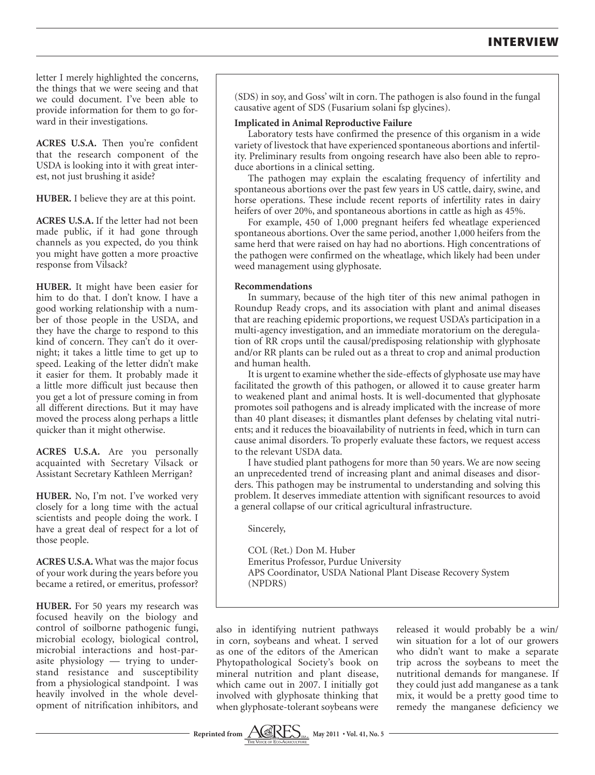letter I merely highlighted the concerns, the things that we were seeing and that we could document. I've been able to provide information for them to go forward in their investigations.

**ACRES U.S.A.** Then you're confident that the research component of the USDA is looking into it with great interest, not just brushing it aside?

**HUBER.** I believe they are at this point.

**ACRES U.S.A.** If the letter had not been made public, if it had gone through channels as you expected, do you think you might have gotten a more proactive response from Vilsack?

**HUBER.** It might have been easier for him to do that. I don't know. I have a good working relationship with a number of those people in the USDA, and they have the charge to respond to this kind of concern. They can't do it overnight; it takes a little time to get up to speed. Leaking of the letter didn't make it easier for them. It probably made it a little more difficult just because then you get a lot of pressure coming in from all different directions. But it may have moved the process along perhaps a little quicker than it might otherwise.

**ACRES U.S.A.** Are you personally acquainted with Secretary Vilsack or Assistant Secretary Kathleen Merrigan?

**HUBER.** No, I'm not. I've worked very closely for a long time with the actual scientists and people doing the work. I have a great deal of respect for a lot of those people.

**ACRES U.S.A.** What was the major focus of your work during the years before you became a retired, or emeritus, professor?

**HUBER.** For 50 years my research was focused heavily on the biology and control of soilborne pathogenic fungi, microbial ecology, biological control, microbial interactions and host-parasite physiology — trying to understand resistance and susceptibility from a physiological standpoint. I was heavily involved in the whole development of nitrification inhibitors, and

(SDS) in soy, and Goss' wilt in corn. The pathogen is also found in the fungal causative agent of SDS (Fusarium solani fsp glycines).

#### **Implicated in Animal Reproductive Failure**

Laboratory tests have confirmed the presence of this organism in a wide variety of livestock that have experienced spontaneous abortions and infertility. Preliminary results from ongoing research have also been able to reproduce abortions in a clinical setting.

The pathogen may explain the escalating frequency of infertility and spontaneous abortions over the past few years in US cattle, dairy, swine, and horse operations. These include recent reports of infertility rates in dairy heifers of over 20%, and spontaneous abortions in cattle as high as 45%.

For example, 450 of 1,000 pregnant heifers fed wheatlage experienced spontaneous abortions. Over the same period, another 1,000 heifers from the same herd that were raised on hay had no abortions. High concentrations of the pathogen were confirmed on the wheatlage, which likely had been under weed management using glyphosate.

#### **Recommendations**

In summary, because of the high titer of this new animal pathogen in Roundup Ready crops, and its association with plant and animal diseases that are reaching epidemic proportions, we request USDA's participation in a multi-agency investigation, and an immediate moratorium on the deregulation of RR crops until the causal/predisposing relationship with glyphosate and/or RR plants can be ruled out as a threat to crop and animal production and human health.

It is urgent to examine whether the side-effects of glyphosate use may have facilitated the growth of this pathogen, or allowed it to cause greater harm to weakened plant and animal hosts. It is well-documented that glyphosate promotes soil pathogens and is already implicated with the increase of more than 40 plant diseases; it dismantles plant defenses by chelating vital nutrients; and it reduces the bioavailability of nutrients in feed, which in turn can cause animal disorders. To properly evaluate these factors, we request access to the relevant USDA data.

I have studied plant pathogens for more than 50 years. We are now seeing an unprecedented trend of increasing plant and animal diseases and disorders. This pathogen may be instrumental to understanding and solving this problem. It deserves immediate attention with significant resources to avoid a general collapse of our critical agricultural infrastructure.

Sincerely,

COL (Ret.) Don M. Huber Emeritus Professor, Purdue University APS Coordinator, USDA National Plant Disease Recovery System (NPDRS)

also in identifying nutrient pathways in corn, soybeans and wheat. I served as one of the editors of the American Phytopathological Society's book on mineral nutrition and plant disease, which came out in 2007. I initially got involved with glyphosate thinking that when glyphosate-tolerant soybeans were

released it would probably be a win/ win situation for a lot of our growers who didn't want to make a separate trip across the soybeans to meet the nutritional demands for manganese. If they could just add manganese as a tank mix, it would be a pretty good time to remedy the manganese deficiency we

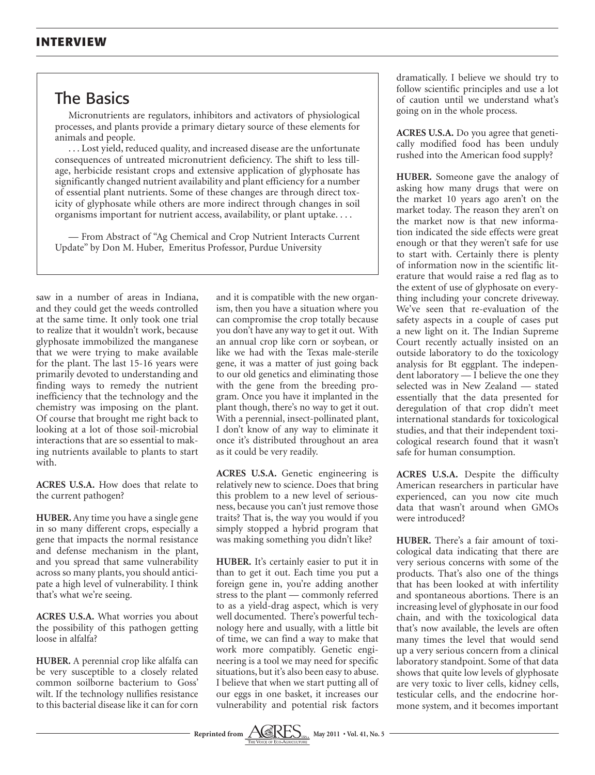## The Basics

Micronutrients are regulators, inhibitors and activators of physiological processes, and plants provide a primary dietary source of these elements for animals and people.

. . . Lost yield, reduced quality, and increased disease are the unfortunate consequences of untreated micronutrient deficiency. The shift to less tillage, herbicide resistant crops and extensive application of glyphosate has significantly changed nutrient availability and plant efficiency for a number of essential plant nutrients. Some of these changes are through direct toxicity of glyphosate while others are more indirect through changes in soil organisms important for nutrient access, availability, or plant uptake. . . .

— From Abstract of "Ag Chemical and Crop Nutrient Interacts Current Update" by Don M. Huber, Emeritus Professor, Purdue University

saw in a number of areas in Indiana, and they could get the weeds controlled at the same time. It only took one trial to realize that it wouldn't work, because glyphosate immobilized the manganese that we were trying to make available for the plant. The last 15-16 years were primarily devoted to understanding and finding ways to remedy the nutrient inefficiency that the technology and the chemistry was imposing on the plant. Of course that brought me right back to looking at a lot of those soil-microbial interactions that are so essential to making nutrients available to plants to start with.

**ACRES U.S.A.** How does that relate to the current pathogen?

**HUBER.** Any time you have a single gene in so many different crops, especially a gene that impacts the normal resistance and defense mechanism in the plant, and you spread that same vulnerability across so many plants, you should anticipate a high level of vulnerability. I think that's what we're seeing.

**ACRES U.S.A.** What worries you about the possibility of this pathogen getting loose in alfalfa?

**HUBER.** A perennial crop like alfalfa can be very susceptible to a closely related common soilborne bacterium to Goss' wilt. If the technology nullifies resistance to this bacterial disease like it can for corn

and it is compatible with the new organism, then you have a situation where you can compromise the crop totally because you don't have any way to get it out. With an annual crop like corn or soybean, or like we had with the Texas male-sterile gene, it was a matter of just going back to our old genetics and eliminating those with the gene from the breeding program. Once you have it implanted in the plant though, there's no way to get it out. With a perennial, insect-pollinated plant, I don't know of any way to eliminate it once it's distributed throughout an area as it could be very readily.

**ACRES U.S.A.** Genetic engineering is relatively new to science. Does that bring this problem to a new level of seriousness, because you can't just remove those traits? That is, the way you would if you simply stopped a hybrid program that was making something you didn't like?

**HUBER.** It's certainly easier to put it in than to get it out. Each time you put a foreign gene in, you're adding another stress to the plant — commonly referred to as a yield-drag aspect, which is very well documented. There's powerful technology here and usually, with a little bit of time, we can find a way to make that work more compatibly. Genetic engineering is a tool we may need for specific situations, but it's also been easy to abuse. I believe that when we start putting all of our eggs in one basket, it increases our vulnerability and potential risk factors

dramatically. I believe we should try to follow scientific principles and use a lot of caution until we understand what's going on in the whole process.

**ACRES U.S.A.** Do you agree that genetically modified food has been unduly rushed into the American food supply?

**HUBER.** Someone gave the analogy of asking how many drugs that were on the market 10 years ago aren't on the market today. The reason they aren't on the market now is that new information indicated the side effects were great enough or that they weren't safe for use to start with. Certainly there is plenty of information now in the scientific literature that would raise a red flag as to the extent of use of glyphosate on everything including your concrete driveway. We've seen that re-evaluation of the safety aspects in a couple of cases put a new light on it. The Indian Supreme Court recently actually insisted on an outside laboratory to do the toxicology analysis for Bt eggplant. The independent laboratory — I believe the one they selected was in New Zealand — stated essentially that the data presented for deregulation of that crop didn't meet international standards for toxicological studies, and that their independent toxicological research found that it wasn't safe for human consumption.

**ACRES U.S.A.** Despite the difficulty American researchers in particular have experienced, can you now cite much data that wasn't around when GMOs were introduced?

**HUBER.** There's a fair amount of toxicological data indicating that there are very serious concerns with some of the products. That's also one of the things that has been looked at with infertility and spontaneous abortions. There is an increasing level of glyphosate in our food chain, and with the toxicological data that's now available, the levels are often many times the level that would send up a very serious concern from a clinical laboratory standpoint. Some of that data shows that quite low levels of glyphosate are very toxic to liver cells, kidney cells, testicular cells, and the endocrine hormone system, and it becomes important

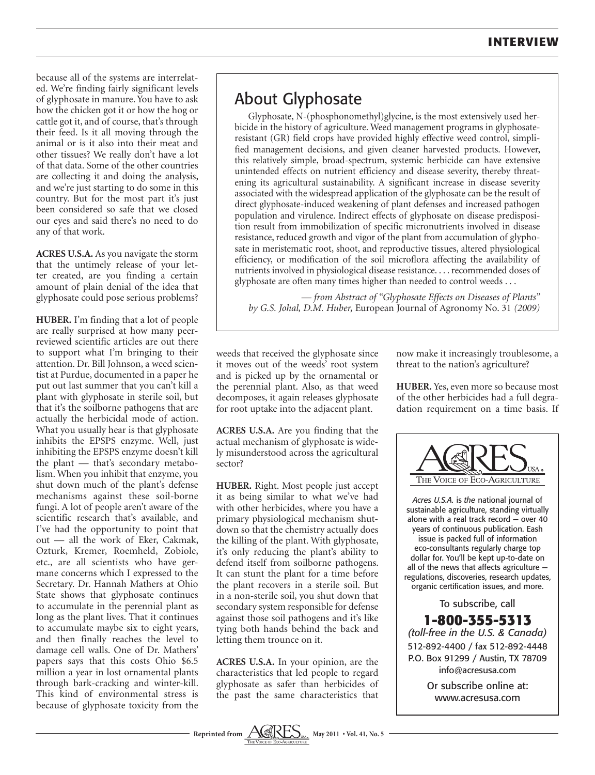because all of the systems are interrelated. We're finding fairly significant levels of glyphosate in manure. You have to ask how the chicken got it or how the hog or cattle got it, and of course, that's through their feed. Is it all moving through the animal or is it also into their meat and other tissues? We really don't have a lot of that data. Some of the other countries are collecting it and doing the analysis, and we're just starting to do some in this country. But for the most part it's just been considered so safe that we closed our eyes and said there's no need to do any of that work.

**ACRES U.S.A.** As you navigate the storm that the untimely release of your letter created, are you finding a certain amount of plain denial of the idea that glyphosate could pose serious problems?

**HUBER.** I'm finding that a lot of people are really surprised at how many peerreviewed scientific articles are out there to support what I'm bringing to their attention. Dr. Bill Johnson, a weed scientist at Purdue, documented in a paper he put out last summer that you can't kill a plant with glyphosate in sterile soil, but that it's the soilborne pathogens that are actually the herbicidal mode of action. What you usually hear is that glyphosate inhibits the EPSPS enzyme. Well, just inhibiting the EPSPS enzyme doesn't kill the plant — that's secondary metabolism. When you inhibit that enzyme, you shut down much of the plant's defense mechanisms against these soil-borne fungi. A lot of people aren't aware of the scientific research that's available, and I've had the opportunity to point that out — all the work of Eker, Cakmak, Ozturk, Kremer, Roemheld, Zobiole, etc., are all scientists who have germane concerns which I expressed to the Secretary. Dr. Hannah Mathers at Ohio State shows that glyphosate continues to accumulate in the perennial plant as long as the plant lives. That it continues to accumulate maybe six to eight years, and then finally reaches the level to damage cell walls. One of Dr. Mathers' papers says that this costs Ohio \$6.5 million a year in lost ornamental plants through bark-cracking and winter-kill. This kind of environmental stress is because of glyphosate toxicity from the

## About Glyphosate

Glyphosate, N-(phosphonomethyl)glycine, is the most extensively used herbicide in the history of agriculture. Weed management programs in glyphosateresistant (GR) field crops have provided highly effective weed control, simplified management decisions, and given cleaner harvested products. However, this relatively simple, broad-spectrum, systemic herbicide can have extensive unintended effects on nutrient efficiency and disease severity, thereby threatening its agricultural sustainability. A significant increase in disease severity associated with the widespread application of the glyphosate can be the result of direct glyphosate-induced weakening of plant defenses and increased pathogen population and virulence. Indirect effects of glyphosate on disease predisposition result from immobilization of specific micronutrients involved in disease resistance, reduced growth and vigor of the plant from accumulation of glyphosate in meristematic root, shoot, and reproductive tissues, altered physiological efficiency, or modification of the soil microflora affecting the availability of nutrients involved in physiological disease resistance. . . . recommended doses of glyphosate are often many times higher than needed to control weeds . . .

*— from Abstract of "Glyphosate Effects on Diseases of Plants" by G.S. Johal, D.M. Huber,* European Journal of Agronomy No. 31 *(2009)*

weeds that received the glyphosate since it moves out of the weeds' root system and is picked up by the ornamental or the perennial plant. Also, as that weed decomposes, it again releases glyphosate for root uptake into the adjacent plant.

**ACRES U.S.A.** Are you finding that the actual mechanism of glyphosate is widely misunderstood across the agricultural sector?

**HUBER.** Right. Most people just accept it as being similar to what we've had with other herbicides, where you have a primary physiological mechanism shutdown so that the chemistry actually does the killing of the plant. With glyphosate, it's only reducing the plant's ability to defend itself from soilborne pathogens. It can stunt the plant for a time before the plant recovers in a sterile soil. But in a non-sterile soil, you shut down that secondary system responsible for defense against those soil pathogens and it's like tying both hands behind the back and letting them trounce on it.

**ACRES U.S.A.** In your opinion, are the characteristics that led people to regard glyphosate as safer than herbicides of the past the same characteristics that

now make it increasingly troublesome, a threat to the nation's agriculture?

**HUBER.** Yes, even more so because most of the other herbicides had a full degradation requirement on a time basis. If



*Acres U.S.A.* is *the* national journal of sustainable agriculture, standing virtually alone with a real track record — over 40 years of continuous publication. Eash issue is packed full of information eco-consultants regularly charge top dollar for. You'll be kept up-to-date on all of the news that affects agriculture regulations, discoveries, research updates, organic certification issues, and more.

To subscribe, call **1-800-355-5313** *(toll-free in the U.S. & Canada)* 512-892-4400 / fax 512-892-4448 P.O. Box 91299 / Austin, TX 78709 info@acresusa.com

Or subscribe online at: www.acresusa.com